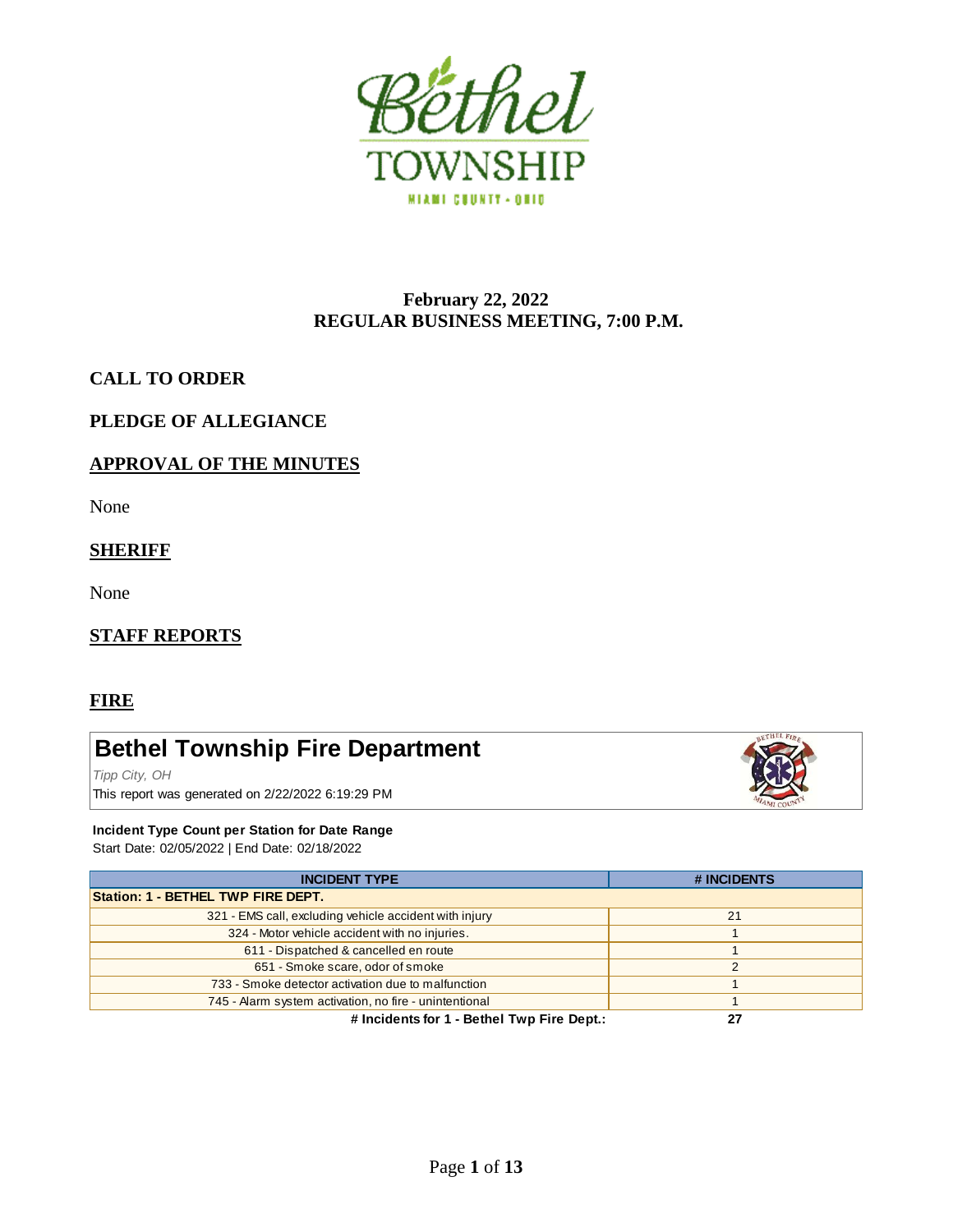

## **February 22, 2022 REGULAR BUSINESS MEETING, 7:00 P.M.**

## **CALL TO ORDER**

## **PLEDGE OF ALLEGIANCE**

## **APPROVAL OF THE MINUTES**

None

## **SHERIFF**

None

## **STAFF REPORTS**

## **FIRE**

# **Bethel Township Fire Department**

*Tipp City, OH* This report was generated on 2/22/2022 6:19:29 PM



#### **Incident Type Count per Station for Date Range**

Start Date: 02/05/2022 | End Date: 02/18/2022

| Start Date: 02/05/2022   End Date: 02/18/2022          |             |
|--------------------------------------------------------|-------------|
| <b>INCIDENT TYPE</b>                                   | # INCIDENTS |
| Station: 1 - BETHEL TWP FIRE DEPT.                     |             |
| 321 - EMS call, excluding vehicle accident with injury | 21          |
| 324 - Motor vehicle accident with no injuries.         |             |
| 611 - Dispatched & cancelled en route                  |             |
| 651 - Smoke scare, odor of smoke                       |             |
| 733 - Smoke detector activation due to malfunction     |             |
| 745 - Alarm system activation, no fire - unintentional |             |
| # Incidents for 1 - Bethel Twp Fire Dept.:             | 27          |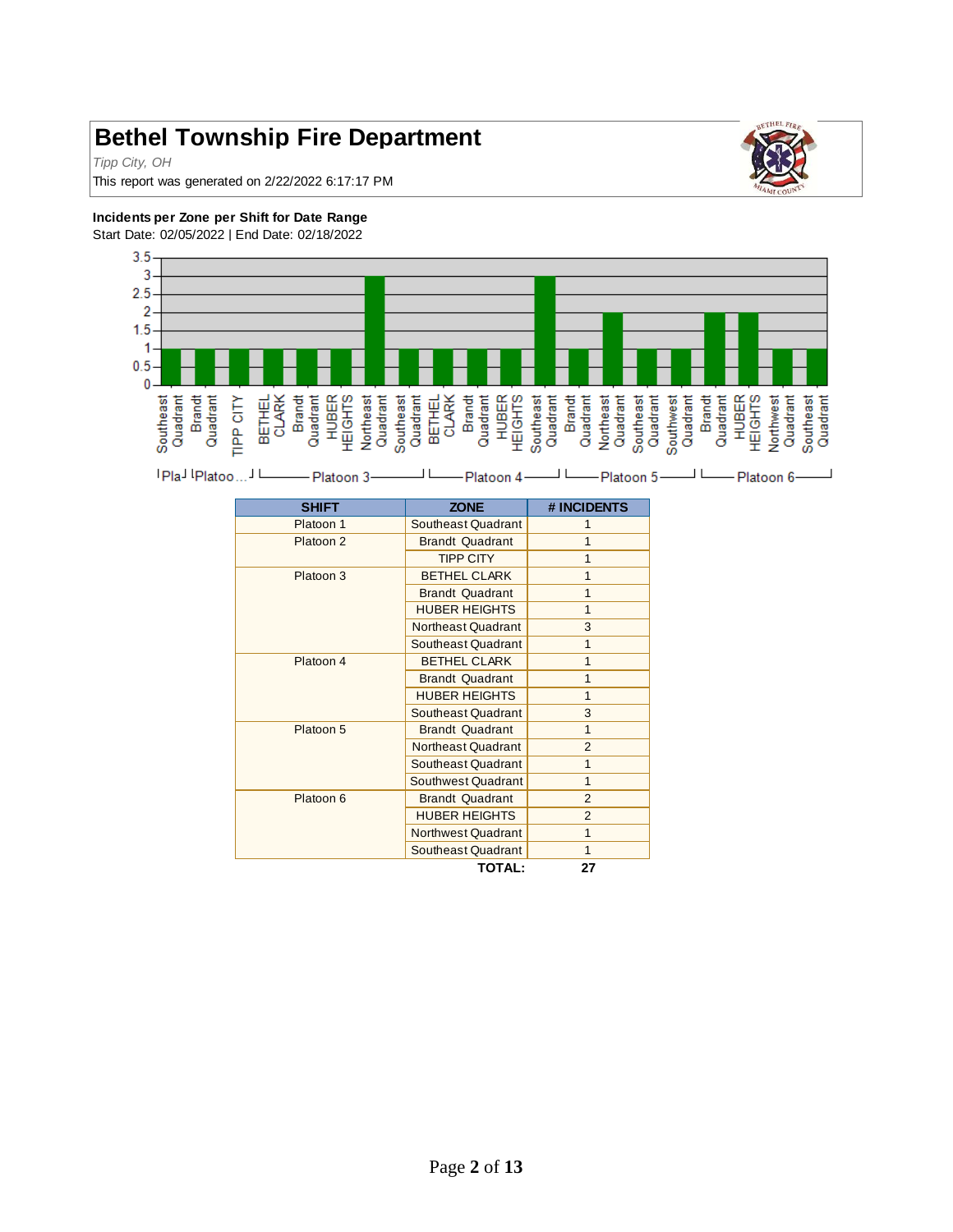# **Bethel Township Fire Department**

*Tipp City, OH*

This report was generated on 2/22/2022 6:17:17 PM



#### **Incidents per Zone per Shift for Date Range**

Start Date: 02/05/2022 | End Date: 02/18/2022





| <b>SHIFT</b> | <b>ZONE</b>            | # INCIDENTS    |
|--------------|------------------------|----------------|
| Platoon 1    | Southeast Quadrant     |                |
| Platoon 2    | <b>Brandt Quadrant</b> |                |
|              | <b>TIPP CITY</b>       | 1              |
| Platoon 3    | <b>BETHEL CLARK</b>    | 1              |
|              | <b>Brandt Quadrant</b> | 1              |
|              | <b>HUBER HEIGHTS</b>   | 1              |
|              | Northeast Quadrant     | 3              |
|              | Southeast Quadrant     | 1              |
| Platoon 4    | <b>BETHEL CLARK</b>    | 1              |
|              | <b>Brandt Quadrant</b> | 1              |
|              | <b>HUBER HEIGHTS</b>   | $\overline{1}$ |
|              | Southeast Quadrant     | 3              |
| Platoon 5    | <b>Brandt Quadrant</b> | 1              |
|              | Northeast Quadrant     | $\overline{2}$ |
|              | Southeast Quadrant     | 1              |
|              | Southwest Quadrant     | 1              |
| Platoon 6    | <b>Brandt Quadrant</b> | $\overline{2}$ |
|              | <b>HUBER HEIGHTS</b>   | $\overline{2}$ |
|              | Northwest Quadrant     | 1              |
|              | Southeast Quadrant     | 1              |
|              | <b>TOTAL:</b>          | 27             |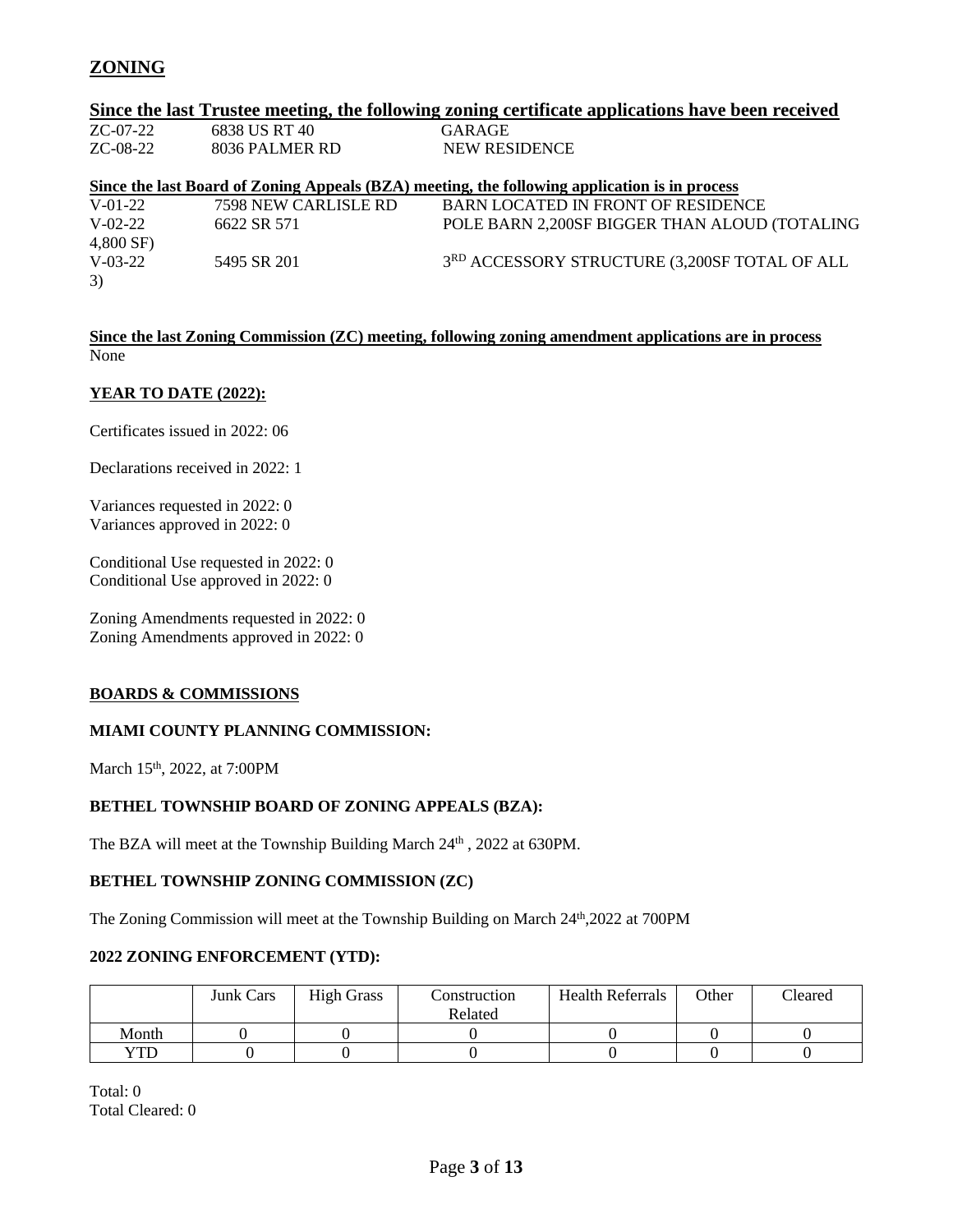# **ZONING**

|               |                      | Since the last Trustee meeting, the following zoning certificate applications have been received |
|---------------|----------------------|--------------------------------------------------------------------------------------------------|
| $ZC-07-22$    | 6838 US RT 40        | GARAGE                                                                                           |
| $ZC-08-22$    | 8036 PALMER RD       | <b>NEW RESIDENCE</b>                                                                             |
|               |                      | Since the last Board of Zoning Appeals (BZA) meeting, the following application is in process    |
| $V-01-22$     | 7598 NEW CARLISLE RD | BARN LOCATED IN FRONT OF RESIDENCE                                                               |
| $V - 02 - 22$ | 6622 SR 571          | POLE BARN 2,200SF BIGGER THAN ALOUD (TOTALING                                                    |
| 4,800 SF)     |                      |                                                                                                  |
| $V-03-22$     | 5495 SR 201          | 3RD ACCESSORY STRUCTURE (3,200SF TOTAL OF ALL                                                    |
| 3)            |                      |                                                                                                  |

#### **Since the last Zoning Commission (ZC) meeting, following zoning amendment applications are in process** None

#### **YEAR TO DATE (2022):**

Certificates issued in 2022: 06

Declarations received in 2022: 1

Variances requested in 2022: 0 Variances approved in 2022: 0

Conditional Use requested in 2022: 0 Conditional Use approved in 2022: 0

Zoning Amendments requested in 2022: 0 Zoning Amendments approved in 2022: 0

#### **BOARDS & COMMISSIONS**

#### **MIAMI COUNTY PLANNING COMMISSION:**

March 15<sup>th</sup>, 2022, at 7:00PM

#### **BETHEL TOWNSHIP BOARD OF ZONING APPEALS (BZA):**

The BZA will meet at the Township Building March 24<sup>th</sup>, 2022 at 630PM.

#### **BETHEL TOWNSHIP ZONING COMMISSION (ZC)**

The Zoning Commission will meet at the Township Building on March 24<sup>th</sup>,2022 at 700PM

#### **2022 ZONING ENFORCEMENT (YTD):**

|       | <b>Junk Cars</b> | <b>High Grass</b> | Construction | <b>Health Referrals</b> | Other | Cleared |
|-------|------------------|-------------------|--------------|-------------------------|-------|---------|
|       |                  |                   | Related      |                         |       |         |
| Month |                  |                   |              |                         |       |         |
| YTD   |                  |                   |              |                         |       |         |

Total: 0 Total Cleared: 0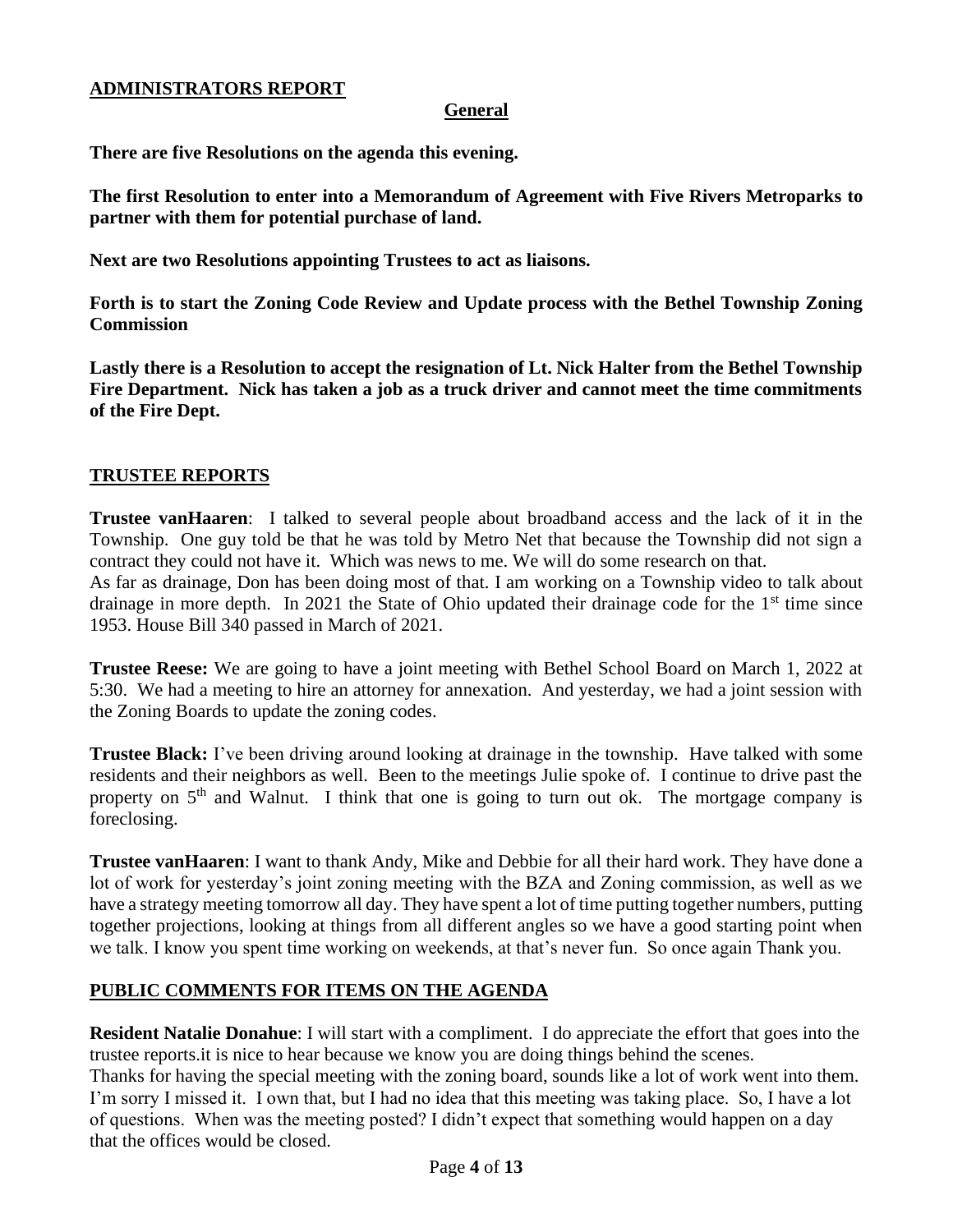## **ADMINISTRATORS REPORT**

## **General**

**There are five Resolutions on the agenda this evening.**

**The first Resolution to enter into a Memorandum of Agreement with Five Rivers Metroparks to partner with them for potential purchase of land.**

**Next are two Resolutions appointing Trustees to act as liaisons.**

**Forth is to start the Zoning Code Review and Update process with the Bethel Township Zoning Commission**

**Lastly there is a Resolution to accept the resignation of Lt. Nick Halter from the Bethel Township Fire Department. Nick has taken a job as a truck driver and cannot meet the time commitments of the Fire Dept.** 

## **TRUSTEE REPORTS**

**Trustee vanHaaren**: I talked to several people about broadband access and the lack of it in the Township. One guy told be that he was told by Metro Net that because the Township did not sign a contract they could not have it. Which was news to me. We will do some research on that. As far as drainage, Don has been doing most of that. I am working on a Township video to talk about drainage in more depth. In 2021 the State of Ohio updated their drainage code for the  $1<sup>st</sup>$  time since 1953. House Bill 340 passed in March of 2021.

**Trustee Reese:** We are going to have a joint meeting with Bethel School Board on March 1, 2022 at 5:30. We had a meeting to hire an attorney for annexation. And yesterday, we had a joint session with the Zoning Boards to update the zoning codes.

**Trustee Black:** I've been driving around looking at drainage in the township. Have talked with some residents and their neighbors as well. Been to the meetings Julie spoke of. I continue to drive past the property on  $5<sup>th</sup>$  and Walnut. I think that one is going to turn out ok. The mortgage company is foreclosing.

**Trustee vanHaaren**: I want to thank Andy, Mike and Debbie for all their hard work. They have done a lot of work for yesterday's joint zoning meeting with the BZA and Zoning commission, as well as we have a strategy meeting tomorrow all day. They have spent a lot of time putting together numbers, putting together projections, looking at things from all different angles so we have a good starting point when we talk. I know you spent time working on weekends, at that's never fun. So once again Thank you.

## **PUBLIC COMMENTS FOR ITEMS ON THE AGENDA**

**Resident Natalie Donahue**: I will start with a compliment. I do appreciate the effort that goes into the trustee reports.it is nice to hear because we know you are doing things behind the scenes. Thanks for having the special meeting with the zoning board, sounds like a lot of work went into them. I'm sorry I missed it. I own that, but I had no idea that this meeting was taking place. So, I have a lot of questions. When was the meeting posted? I didn't expect that something would happen on a day that the offices would be closed.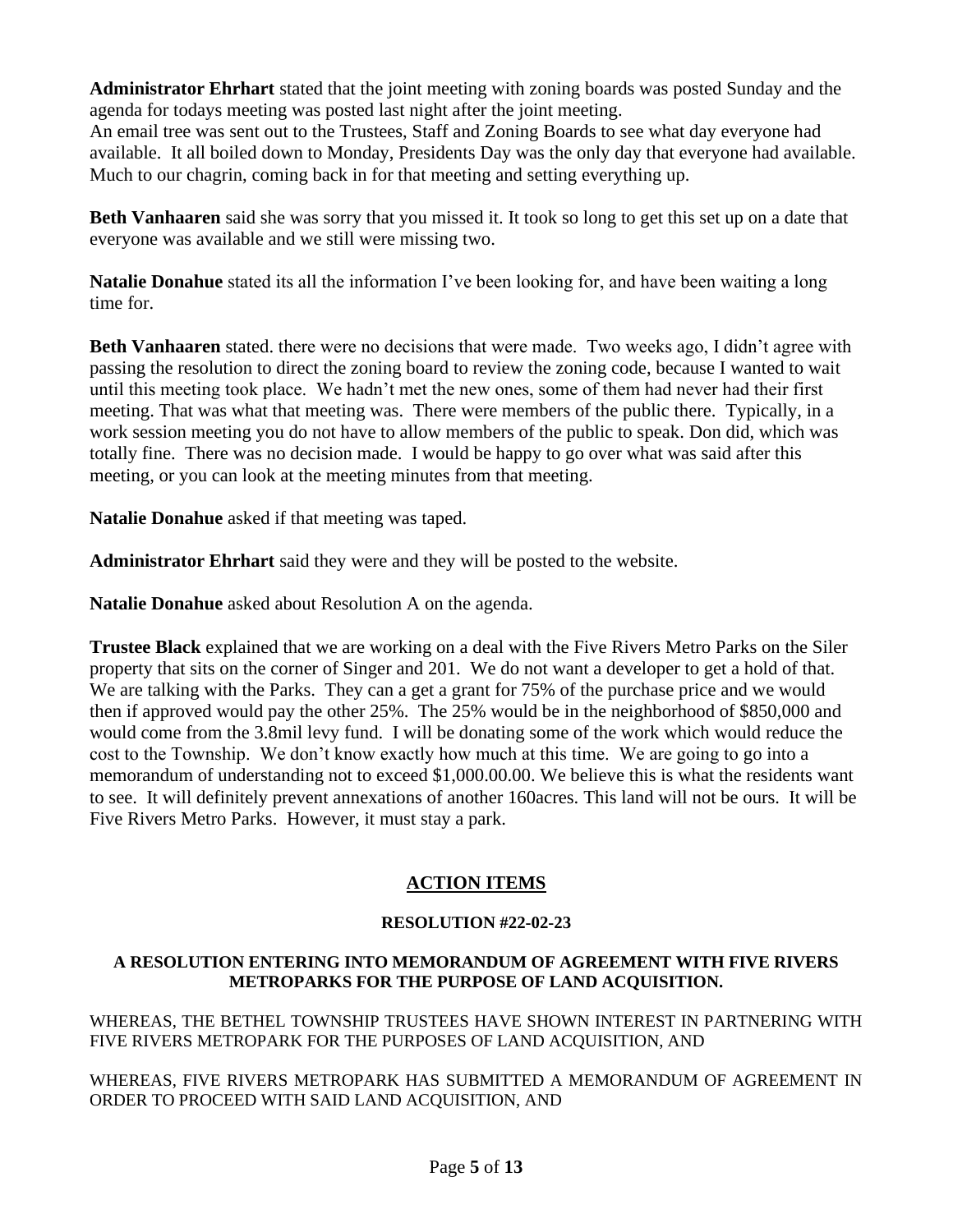**Administrator Ehrhart** stated that the joint meeting with zoning boards was posted Sunday and the agenda for todays meeting was posted last night after the joint meeting.

An email tree was sent out to the Trustees, Staff and Zoning Boards to see what day everyone had available. It all boiled down to Monday, Presidents Day was the only day that everyone had available. Much to our chagrin, coming back in for that meeting and setting everything up.

**Beth Vanhaaren** said she was sorry that you missed it. It took so long to get this set up on a date that everyone was available and we still were missing two.

**Natalie Donahue** stated its all the information I've been looking for, and have been waiting a long time for.

**Beth Vanhaaren** stated. there were no decisions that were made. Two weeks ago, I didn't agree with passing the resolution to direct the zoning board to review the zoning code, because I wanted to wait until this meeting took place. We hadn't met the new ones, some of them had never had their first meeting. That was what that meeting was. There were members of the public there. Typically, in a work session meeting you do not have to allow members of the public to speak. Don did, which was totally fine. There was no decision made. I would be happy to go over what was said after this meeting, or you can look at the meeting minutes from that meeting.

**Natalie Donahue** asked if that meeting was taped.

**Administrator Ehrhart** said they were and they will be posted to the website.

**Natalie Donahue** asked about Resolution A on the agenda.

**Trustee Black** explained that we are working on a deal with the Five Rivers Metro Parks on the Siler property that sits on the corner of Singer and 201. We do not want a developer to get a hold of that. We are talking with the Parks. They can a get a grant for 75% of the purchase price and we would then if approved would pay the other 25%. The 25% would be in the neighborhood of \$850,000 and would come from the 3.8mil levy fund. I will be donating some of the work which would reduce the cost to the Township. We don't know exactly how much at this time. We are going to go into a memorandum of understanding not to exceed \$1,000.00.00. We believe this is what the residents want to see. It will definitely prevent annexations of another 160acres. This land will not be ours. It will be Five Rivers Metro Parks. However, it must stay a park.

# **ACTION ITEMS**

## **RESOLUTION #22-02-23**

## **A RESOLUTION ENTERING INTO MEMORANDUM OF AGREEMENT WITH FIVE RIVERS METROPARKS FOR THE PURPOSE OF LAND ACQUISITION.**

WHEREAS, THE BETHEL TOWNSHIP TRUSTEES HAVE SHOWN INTEREST IN PARTNERING WITH FIVE RIVERS METROPARK FOR THE PURPOSES OF LAND ACQUISITION, AND

WHEREAS, FIVE RIVERS METROPARK HAS SUBMITTED A MEMORANDUM OF AGREEMENT IN ORDER TO PROCEED WITH SAID LAND ACQUISITION, AND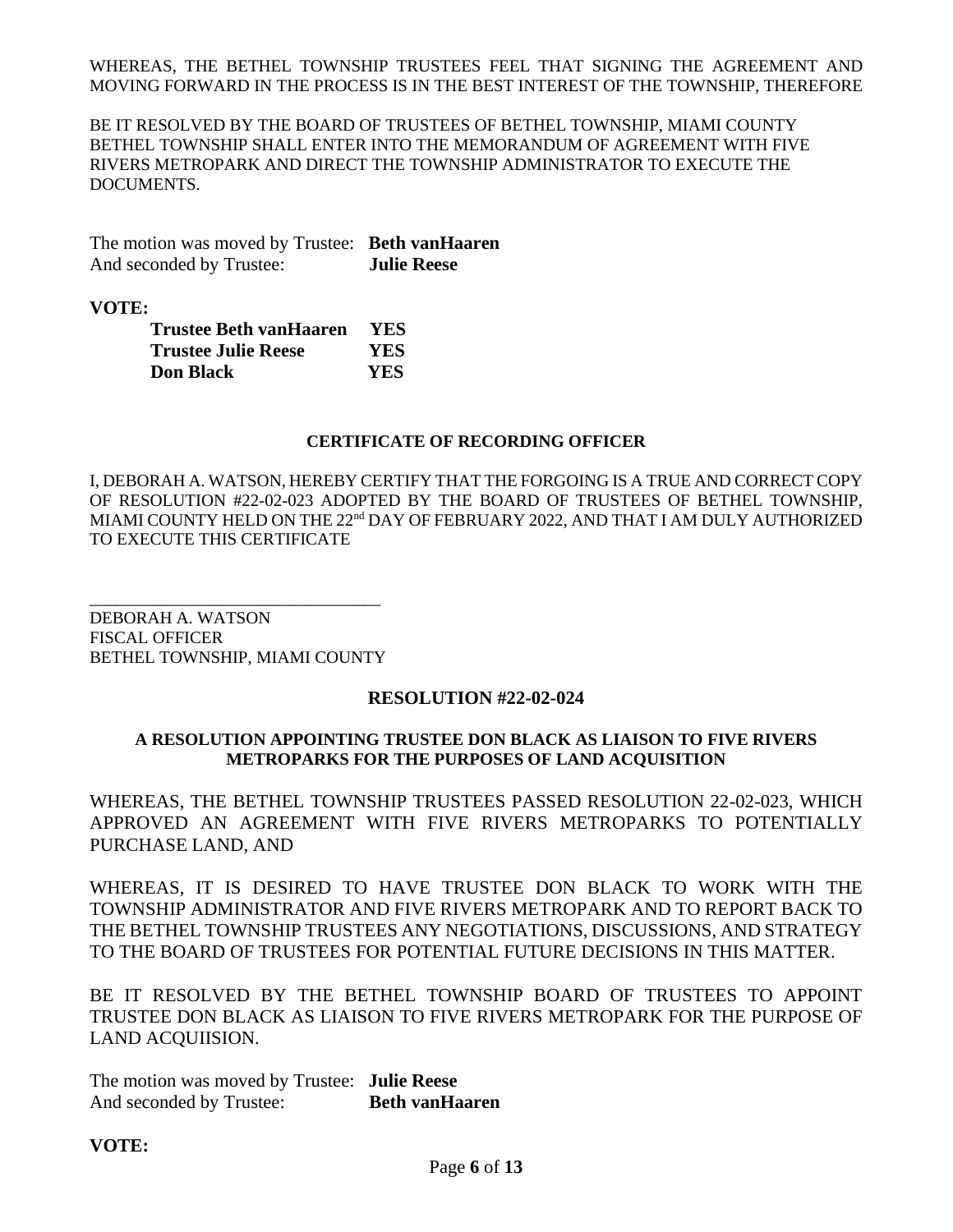WHEREAS, THE BETHEL TOWNSHIP TRUSTEES FEEL THAT SIGNING THE AGREEMENT AND MOVING FORWARD IN THE PROCESS IS IN THE BEST INTEREST OF THE TOWNSHIP, THEREFORE

BE IT RESOLVED BY THE BOARD OF TRUSTEES OF BETHEL TOWNSHIP, MIAMI COUNTY BETHEL TOWNSHIP SHALL ENTER INTO THE MEMORANDUM OF AGREEMENT WITH FIVE RIVERS METROPARK AND DIRECT THE TOWNSHIP ADMINISTRATOR TO EXECUTE THE DOCUMENTS.

The motion was moved by Trustee: **Beth vanHaaren** And seconded by Trustee: **Julie Reese**

**VOTE:**

| <b>Trustee Beth vanHaaren</b> | <b>YES</b> |
|-------------------------------|------------|
| <b>Trustee Julie Reese</b>    | YES.       |
| <b>Don Black</b>              | <b>YES</b> |

#### **CERTIFICATE OF RECORDING OFFICER**

I, DEBORAH A. WATSON, HEREBY CERTIFY THAT THE FORGOING IS A TRUE AND CORRECT COPY OF RESOLUTION #22-02-023 ADOPTED BY THE BOARD OF TRUSTEES OF BETHEL TOWNSHIP, MIAMI COUNTY HELD ON THE 22<sup>nd</sup> DAY OF FEBRUARY 2022, AND THAT I AM DULY AUTHORIZED TO EXECUTE THIS CERTIFICATE

DEBORAH A. WATSON FISCAL OFFICER BETHEL TOWNSHIP, MIAMI COUNTY

\_\_\_\_\_\_\_\_\_\_\_\_\_\_\_\_\_\_\_\_\_\_\_\_\_\_\_\_\_\_\_\_\_\_

#### **RESOLUTION #22-02-024**

#### **A RESOLUTION APPOINTING TRUSTEE DON BLACK AS LIAISON TO FIVE RIVERS METROPARKS FOR THE PURPOSES OF LAND ACQUISITION**

WHEREAS, THE BETHEL TOWNSHIP TRUSTEES PASSED RESOLUTION 22-02-023, WHICH APPROVED AN AGREEMENT WITH FIVE RIVERS METROPARKS TO POTENTIALLY PURCHASE LAND, AND

WHEREAS, IT IS DESIRED TO HAVE TRUSTEE DON BLACK TO WORK WITH THE TOWNSHIP ADMINISTRATOR AND FIVE RIVERS METROPARK AND TO REPORT BACK TO THE BETHEL TOWNSHIP TRUSTEES ANY NEGOTIATIONS, DISCUSSIONS, AND STRATEGY TO THE BOARD OF TRUSTEES FOR POTENTIAL FUTURE DECISIONS IN THIS MATTER.

BE IT RESOLVED BY THE BETHEL TOWNSHIP BOARD OF TRUSTEES TO APPOINT TRUSTEE DON BLACK AS LIAISON TO FIVE RIVERS METROPARK FOR THE PURPOSE OF LAND ACQUIISION.

The motion was moved by Trustee: **Julie Reese** And seconded by Trustee: **Beth vanHaaren** 

#### **VOTE:**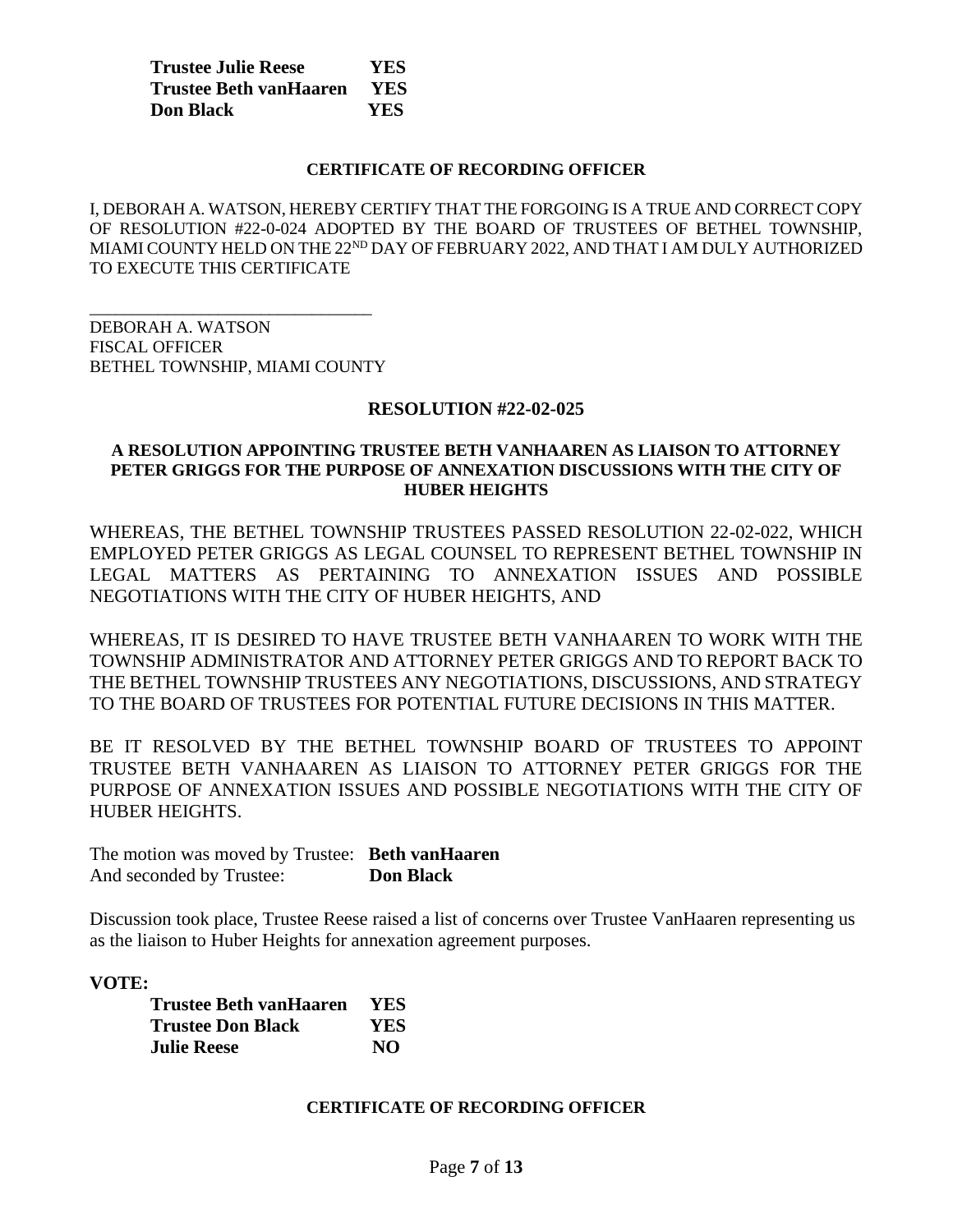| <b>Trustee Julie Reese</b>    | <b>YES</b> |
|-------------------------------|------------|
| <b>Trustee Beth vanHaaren</b> | <b>YES</b> |
| <b>Don Black</b>              | YES        |

#### **CERTIFICATE OF RECORDING OFFICER**

I, DEBORAH A. WATSON, HEREBY CERTIFY THAT THE FORGOING IS A TRUE AND CORRECT COPY OF RESOLUTION #22-0-024 ADOPTED BY THE BOARD OF TRUSTEES OF BETHEL TOWNSHIP, MIAMI COUNTY HELD ON THE 22<sup>ND</sup> DAY OF FEBRUARY 2022, AND THAT I AM DULY AUTHORIZED TO EXECUTE THIS CERTIFICATE

DEBORAH A. WATSON FISCAL OFFICER BETHEL TOWNSHIP, MIAMI COUNTY

\_\_\_\_\_\_\_\_\_\_\_\_\_\_\_\_\_\_\_\_\_\_\_\_\_\_\_\_\_\_\_\_\_

#### **RESOLUTION #22-02-025**

### **A RESOLUTION APPOINTING TRUSTEE BETH VANHAAREN AS LIAISON TO ATTORNEY PETER GRIGGS FOR THE PURPOSE OF ANNEXATION DISCUSSIONS WITH THE CITY OF HUBER HEIGHTS**

WHEREAS, THE BETHEL TOWNSHIP TRUSTEES PASSED RESOLUTION 22-02-022, WHICH EMPLOYED PETER GRIGGS AS LEGAL COUNSEL TO REPRESENT BETHEL TOWNSHIP IN LEGAL MATTERS AS PERTAINING TO ANNEXATION ISSUES AND POSSIBLE NEGOTIATIONS WITH THE CITY OF HUBER HEIGHTS, AND

WHEREAS, IT IS DESIRED TO HAVE TRUSTEE BETH VANHAAREN TO WORK WITH THE TOWNSHIP ADMINISTRATOR AND ATTORNEY PETER GRIGGS AND TO REPORT BACK TO THE BETHEL TOWNSHIP TRUSTEES ANY NEGOTIATIONS, DISCUSSIONS, AND STRATEGY TO THE BOARD OF TRUSTEES FOR POTENTIAL FUTURE DECISIONS IN THIS MATTER.

BE IT RESOLVED BY THE BETHEL TOWNSHIP BOARD OF TRUSTEES TO APPOINT TRUSTEE BETH VANHAAREN AS LIAISON TO ATTORNEY PETER GRIGGS FOR THE PURPOSE OF ANNEXATION ISSUES AND POSSIBLE NEGOTIATIONS WITH THE CITY OF HUBER HEIGHTS.

The motion was moved by Trustee: **Beth vanHaaren** And seconded by Trustee: **Don Black**

Discussion took place, Trustee Reese raised a list of concerns over Trustee VanHaaren representing us as the liaison to Huber Heights for annexation agreement purposes.

#### **VOTE:**

| Trustee Beth vanHaaren   | <b>YES</b> |
|--------------------------|------------|
| <b>Trustee Don Black</b> | <b>YES</b> |
| <b>Julie Reese</b>       | NO.        |

#### **CERTIFICATE OF RECORDING OFFICER**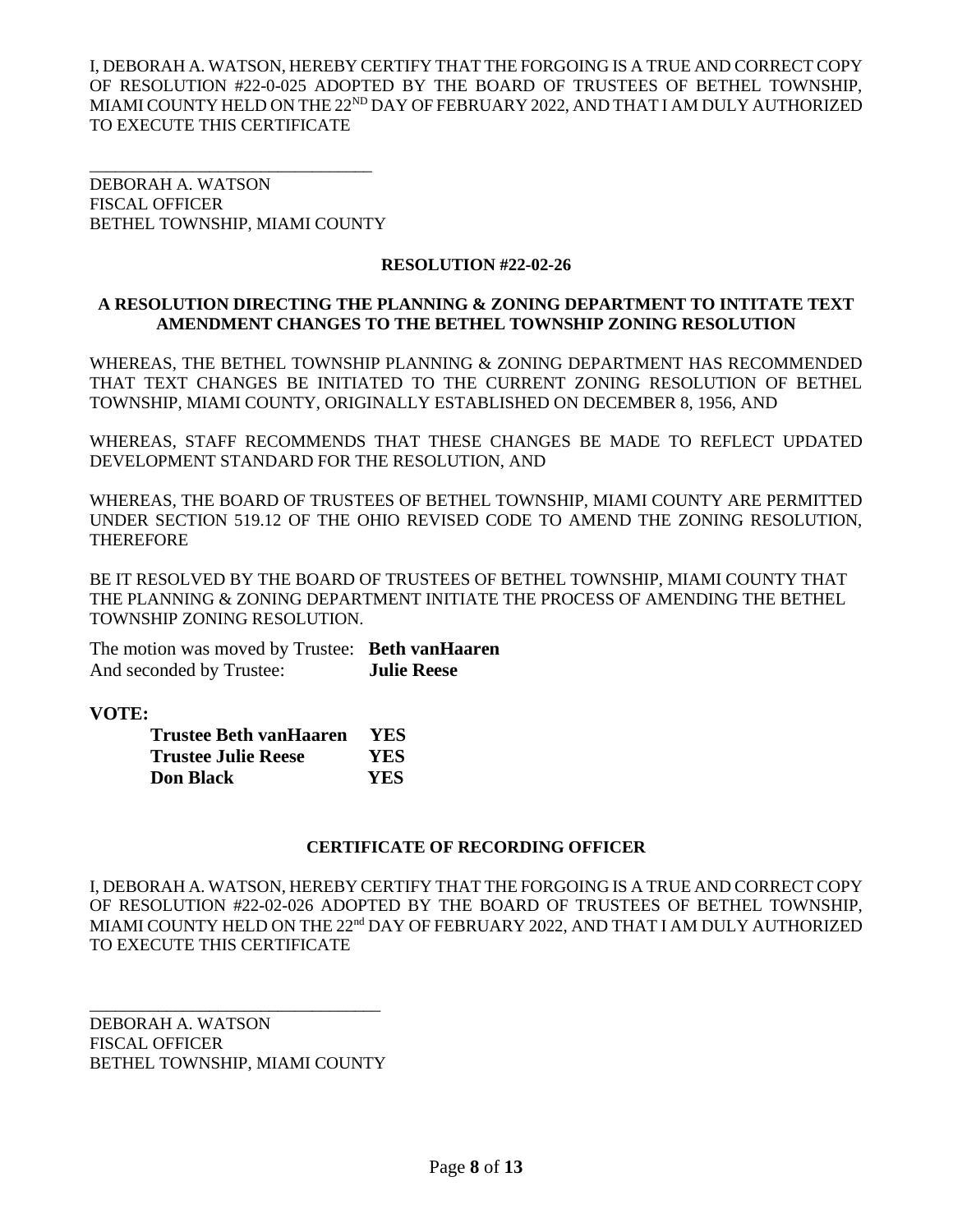I, DEBORAH A. WATSON, HEREBY CERTIFY THAT THE FORGOING IS A TRUE AND CORRECT COPY OF RESOLUTION #22-0-025 ADOPTED BY THE BOARD OF TRUSTEES OF BETHEL TOWNSHIP, MIAMI COUNTY HELD ON THE 22<sup>ND</sup> DAY OF FEBRUARY 2022, AND THAT I AM DULY AUTHORIZED TO EXECUTE THIS CERTIFICATE

DEBORAH A. WATSON FISCAL OFFICER BETHEL TOWNSHIP, MIAMI COUNTY

\_\_\_\_\_\_\_\_\_\_\_\_\_\_\_\_\_\_\_\_\_\_\_\_\_\_\_\_\_\_\_\_\_

## **RESOLUTION #22-02-26**

## **A RESOLUTION DIRECTING THE PLANNING & ZONING DEPARTMENT TO INTITATE TEXT AMENDMENT CHANGES TO THE BETHEL TOWNSHIP ZONING RESOLUTION**

WHEREAS, THE BETHEL TOWNSHIP PLANNING & ZONING DEPARTMENT HAS RECOMMENDED THAT TEXT CHANGES BE INITIATED TO THE CURRENT ZONING RESOLUTION OF BETHEL TOWNSHIP, MIAMI COUNTY, ORIGINALLY ESTABLISHED ON DECEMBER 8, 1956, AND

WHEREAS, STAFF RECOMMENDS THAT THESE CHANGES BE MADE TO REFLECT UPDATED DEVELOPMENT STANDARD FOR THE RESOLUTION, AND

WHEREAS, THE BOARD OF TRUSTEES OF BETHEL TOWNSHIP, MIAMI COUNTY ARE PERMITTED UNDER SECTION 519.12 OF THE OHIO REVISED CODE TO AMEND THE ZONING RESOLUTION, THEREFORE

BE IT RESOLVED BY THE BOARD OF TRUSTEES OF BETHEL TOWNSHIP, MIAMI COUNTY THAT THE PLANNING & ZONING DEPARTMENT INITIATE THE PROCESS OF AMENDING THE BETHEL TOWNSHIP ZONING RESOLUTION.

The motion was moved by Trustee: **Beth vanHaaren** And seconded by Trustee: **Julie Reese**

**VOTE:**

| Trustee Beth vanHaaren | <b>YES</b> |
|------------------------|------------|
| Trustee Julie Reese    | <b>YES</b> |
| <b>Don Black</b>       | YES        |

## **CERTIFICATE OF RECORDING OFFICER**

I, DEBORAH A. WATSON, HEREBY CERTIFY THAT THE FORGOING IS A TRUE AND CORRECT COPY OF RESOLUTION #22-02-026 ADOPTED BY THE BOARD OF TRUSTEES OF BETHEL TOWNSHIP, MIAMI COUNTY HELD ON THE 22<sup>nd</sup> DAY OF FEBRUARY 2022, AND THAT I AM DULY AUTHORIZED TO EXECUTE THIS CERTIFICATE

DEBORAH A. WATSON FISCAL OFFICER BETHEL TOWNSHIP, MIAMI COUNTY

\_\_\_\_\_\_\_\_\_\_\_\_\_\_\_\_\_\_\_\_\_\_\_\_\_\_\_\_\_\_\_\_\_\_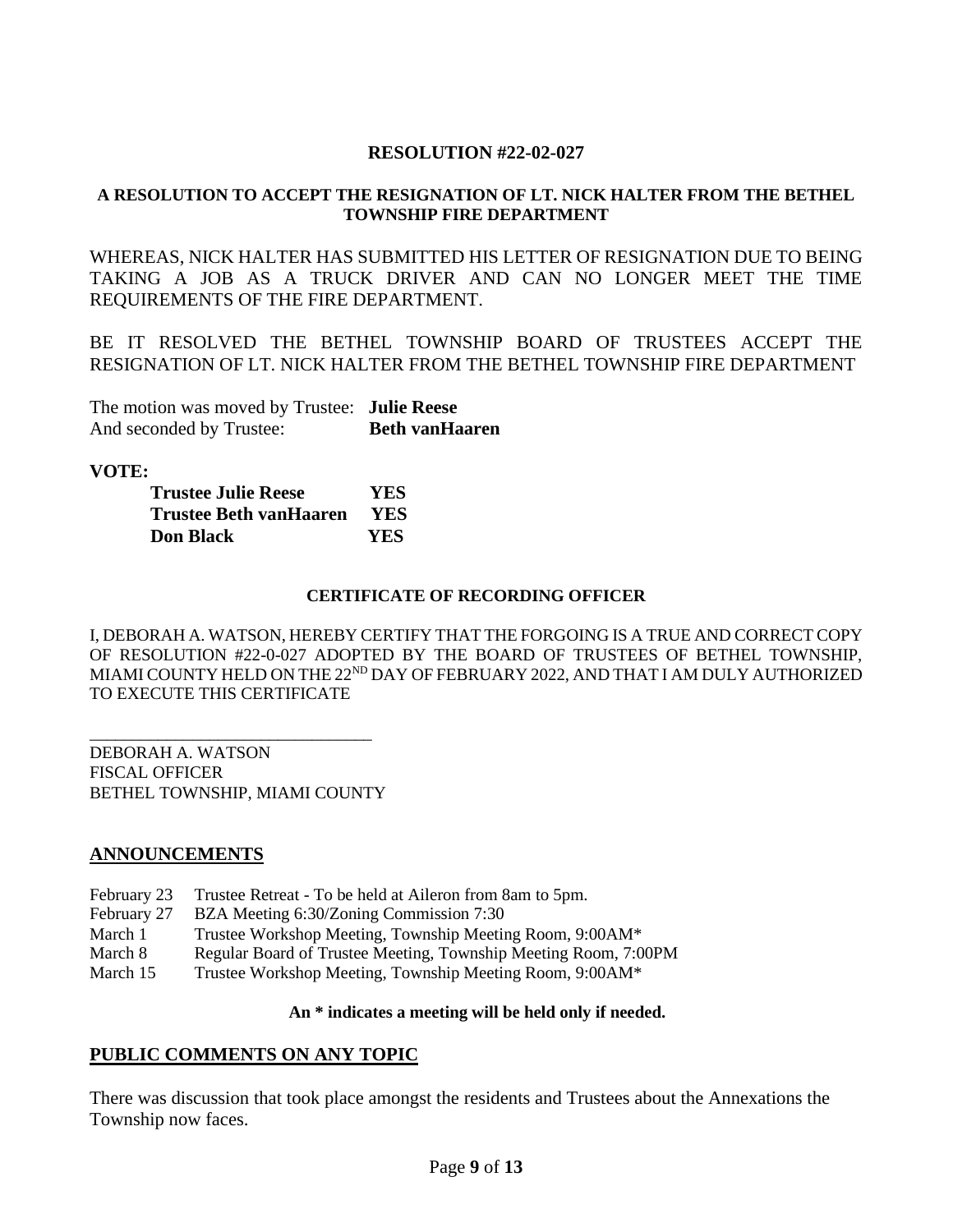## **RESOLUTION #22-02-027**

## **A RESOLUTION TO ACCEPT THE RESIGNATION OF LT. NICK HALTER FROM THE BETHEL TOWNSHIP FIRE DEPARTMENT**

WHEREAS, NICK HALTER HAS SUBMITTED HIS LETTER OF RESIGNATION DUE TO BEING TAKING A JOB AS A TRUCK DRIVER AND CAN NO LONGER MEET THE TIME REQUIREMENTS OF THE FIRE DEPARTMENT.

BE IT RESOLVED THE BETHEL TOWNSHIP BOARD OF TRUSTEES ACCEPT THE RESIGNATION OF LT. NICK HALTER FROM THE BETHEL TOWNSHIP FIRE DEPARTMENT

The motion was moved by Trustee: **Julie Reese** And seconded by Trustee: **Beth vanHaaren** 

**VOTE:**

| <b>Trustee Julie Reese</b>    | YES.       |
|-------------------------------|------------|
| <b>Trustee Beth vanHaaren</b> | <b>YES</b> |
| <b>Don Black</b>              | YES        |

#### **CERTIFICATE OF RECORDING OFFICER**

I, DEBORAH A. WATSON, HEREBY CERTIFY THAT THE FORGOING IS A TRUE AND CORRECT COPY OF RESOLUTION #22-0-027 ADOPTED BY THE BOARD OF TRUSTEES OF BETHEL TOWNSHIP, MIAMI COUNTY HELD ON THE 22<sup>ND</sup> DAY OF FEBRUARY 2022, AND THAT I AM DULY AUTHORIZED TO EXECUTE THIS CERTIFICATE

\_\_\_\_\_\_\_\_\_\_\_\_\_\_\_\_\_\_\_\_\_\_\_\_\_\_\_\_\_\_\_\_\_ DEBORAH A. WATSON FISCAL OFFICER BETHEL TOWNSHIP, MIAMI COUNTY

## **ANNOUNCEMENTS**

- February 23 Trustee Retreat To be held at Aileron from 8am to 5pm.
- February 27 BZA Meeting 6:30/Zoning Commission 7:30
- March 1 Trustee Workshop Meeting, Township Meeting Room, 9:00AM\*
- March 8 Regular Board of Trustee Meeting, Township Meeting Room, 7:00PM
- March 15 Trustee Workshop Meeting, Township Meeting Room, 9:00AM\*

#### **An \* indicates a meeting will be held only if needed.**

## **PUBLIC COMMENTS ON ANY TOPIC**

There was discussion that took place amongst the residents and Trustees about the Annexations the Township now faces.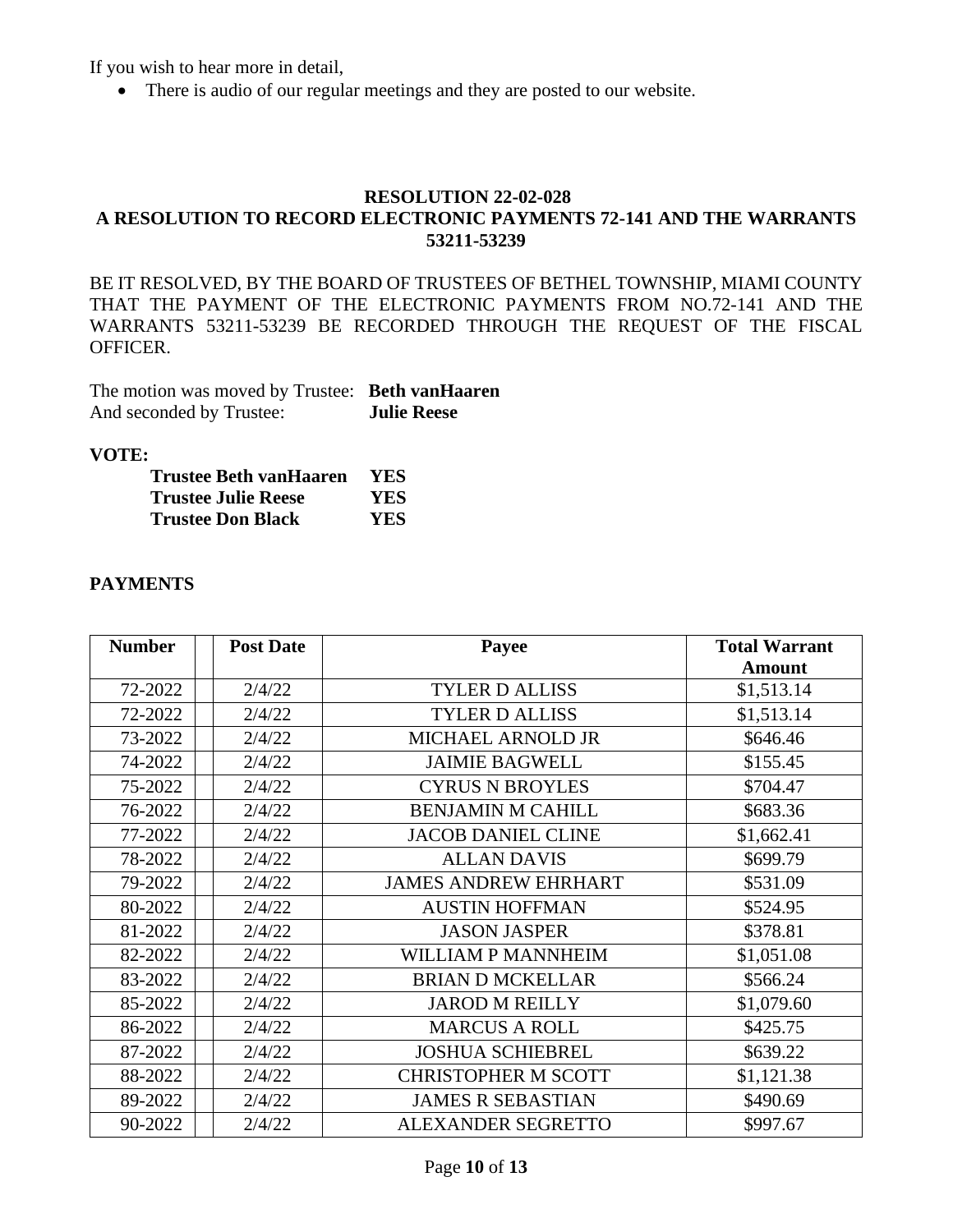If you wish to hear more in detail,

• There is audio of our regular meetings and they are posted to our website.

## **RESOLUTION 22-02-028 A RESOLUTION TO RECORD ELECTRONIC PAYMENTS 72-141 AND THE WARRANTS 53211-53239**

BE IT RESOLVED, BY THE BOARD OF TRUSTEES OF BETHEL TOWNSHIP, MIAMI COUNTY THAT THE PAYMENT OF THE ELECTRONIC PAYMENTS FROM NO.72-141 AND THE WARRANTS 53211-53239 BE RECORDED THROUGH THE REQUEST OF THE FISCAL OFFICER.

| The motion was moved by Trustee: Beth vanHaaren |                    |
|-------------------------------------------------|--------------------|
| And seconded by Trustee:                        | <b>Julie Reese</b> |

## **VOTE:**

| Trustee Beth vanHaaren   | <b>YES</b> |
|--------------------------|------------|
| Trustee Julie Reese      | YES.       |
| <b>Trustee Don Black</b> | YES.       |

## **PAYMENTS**

| <b>Number</b> | <b>Post Date</b> | Payee                       | <b>Total Warrant</b> |
|---------------|------------------|-----------------------------|----------------------|
|               |                  |                             | Amount               |
| 72-2022       | 2/4/22           | <b>TYLER D ALLISS</b>       | \$1,513.14           |
| 72-2022       | 2/4/22           | <b>TYLER D ALLISS</b>       | \$1,513.14           |
| 73-2022       | 2/4/22           | MICHAEL ARNOLD JR           | \$646.46             |
| 74-2022       | 2/4/22           | <b>JAIMIE BAGWELL</b>       | \$155.45             |
| 75-2022       | 2/4/22           | <b>CYRUS N BROYLES</b>      | \$704.47             |
| 76-2022       | 2/4/22           | <b>BENJAMIN M CAHILL</b>    | \$683.36             |
| 77-2022       | 2/4/22           | <b>JACOB DANIEL CLINE</b>   | \$1,662.41           |
| 78-2022       | 2/4/22           | <b>ALLAN DAVIS</b>          | \$699.79             |
| 79-2022       | 2/4/22           | <b>JAMES ANDREW EHRHART</b> | \$531.09             |
| 80-2022       | 2/4/22           | <b>AUSTIN HOFFMAN</b>       | \$524.95             |
| 81-2022       | 2/4/22           | <b>JASON JASPER</b>         | \$378.81             |
| 82-2022       | 2/4/22           | WILLIAM P MANNHEIM          | \$1,051.08           |
| 83-2022       | 2/4/22           | <b>BRIAN D MCKELLAR</b>     | \$566.24             |
| 85-2022       | 2/4/22           | <b>JAROD M REILLY</b>       | \$1,079.60           |
| 86-2022       | 2/4/22           | <b>MARCUS A ROLL</b>        | \$425.75             |
| 87-2022       | 2/4/22           | <b>JOSHUA SCHIEBREL</b>     | \$639.22             |
| 88-2022       | 2/4/22           | <b>CHRISTOPHER M SCOTT</b>  | \$1,121.38           |
| 89-2022       | 2/4/22           | <b>JAMES R SEBASTIAN</b>    | \$490.69             |
| 90-2022       | 2/4/22           | <b>ALEXANDER SEGRETTO</b>   | \$997.67             |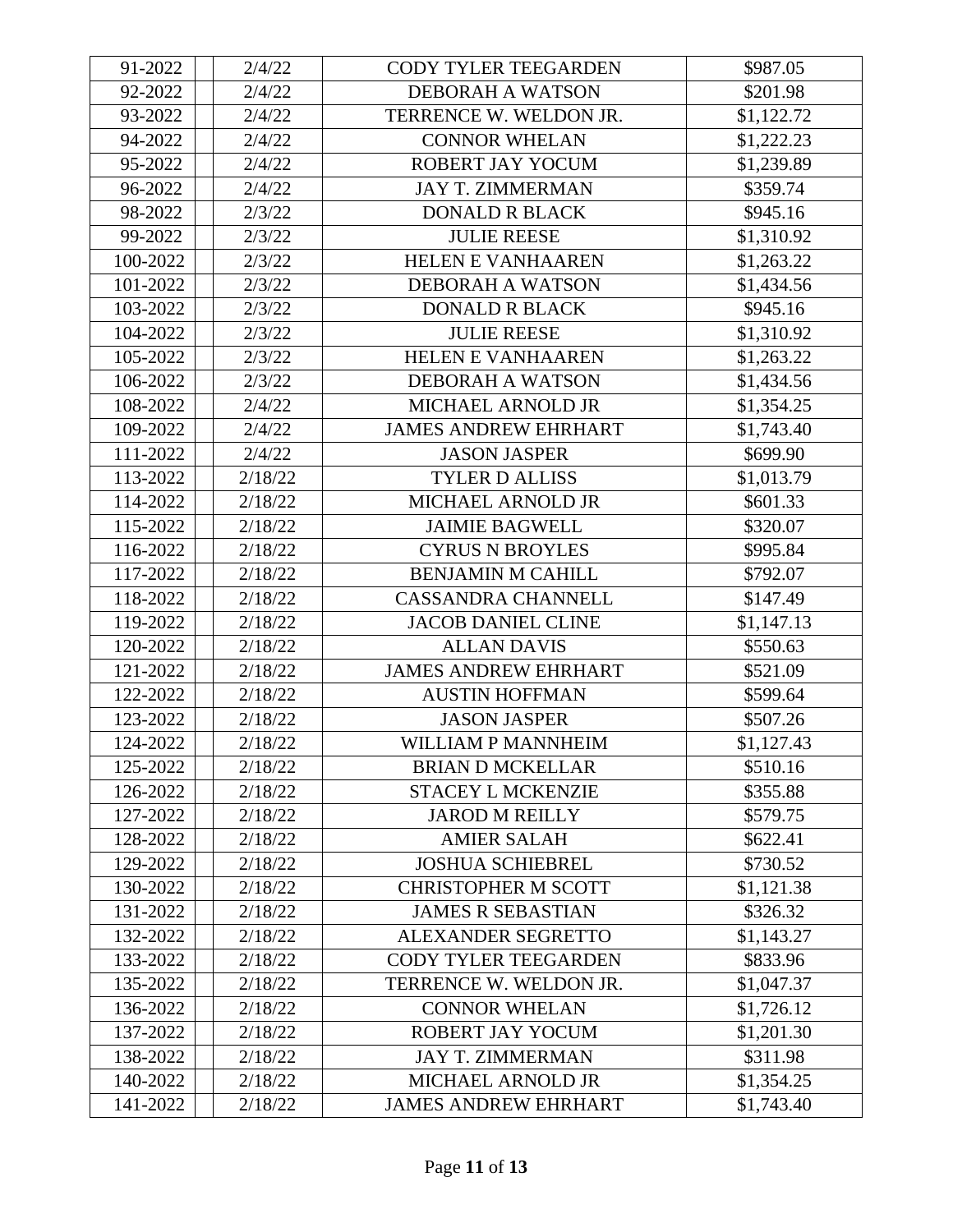| 91-2022  | 2/4/22  | <b>CODY TYLER TEEGARDEN</b> | \$987.05   |
|----------|---------|-----------------------------|------------|
| 92-2022  | 2/4/22  | <b>DEBORAH A WATSON</b>     | \$201.98   |
| 93-2022  | 2/4/22  | TERRENCE W. WELDON JR.      | \$1,122.72 |
| 94-2022  | 2/4/22  | <b>CONNOR WHELAN</b>        | \$1,222.23 |
| 95-2022  | 2/4/22  | ROBERT JAY YOCUM            | \$1,239.89 |
| 96-2022  | 2/4/22  | <b>JAY T. ZIMMERMAN</b>     | \$359.74   |
| 98-2022  | 2/3/22  | <b>DONALD R BLACK</b>       | \$945.16   |
| 99-2022  | 2/3/22  | <b>JULIE REESE</b>          | \$1,310.92 |
| 100-2022 | 2/3/22  | <b>HELEN E VANHAAREN</b>    | \$1,263.22 |
| 101-2022 | 2/3/22  | <b>DEBORAH A WATSON</b>     | \$1,434.56 |
| 103-2022 | 2/3/22  | <b>DONALD R BLACK</b>       | \$945.16   |
| 104-2022 | 2/3/22  | <b>JULIE REESE</b>          | \$1,310.92 |
| 105-2022 | 2/3/22  | <b>HELEN E VANHAAREN</b>    | \$1,263.22 |
| 106-2022 | 2/3/22  | <b>DEBORAH A WATSON</b>     | \$1,434.56 |
| 108-2022 | 2/4/22  | MICHAEL ARNOLD JR           | \$1,354.25 |
| 109-2022 | 2/4/22  | <b>JAMES ANDREW EHRHART</b> | \$1,743.40 |
| 111-2022 | 2/4/22  | <b>JASON JASPER</b>         | \$699.90   |
| 113-2022 | 2/18/22 | <b>TYLER D ALLISS</b>       | \$1,013.79 |
| 114-2022 | 2/18/22 | MICHAEL ARNOLD JR           | \$601.33   |
| 115-2022 | 2/18/22 | <b>JAIMIE BAGWELL</b>       | \$320.07   |
| 116-2022 | 2/18/22 | <b>CYRUS N BROYLES</b>      | \$995.84   |
| 117-2022 | 2/18/22 | <b>BENJAMIN M CAHILL</b>    | \$792.07   |
| 118-2022 | 2/18/22 | <b>CASSANDRA CHANNELL</b>   | \$147.49   |
| 119-2022 | 2/18/22 | <b>JACOB DANIEL CLINE</b>   | \$1,147.13 |
| 120-2022 | 2/18/22 | <b>ALLAN DAVIS</b>          | \$550.63   |
| 121-2022 | 2/18/22 | <b>JAMES ANDREW EHRHART</b> | \$521.09   |
| 122-2022 | 2/18/22 | <b>AUSTIN HOFFMAN</b>       | \$599.64   |
| 123-2022 | 2/18/22 | <b>JASON JASPER</b>         | \$507.26   |
| 124-2022 | 2/18/22 | WILLIAM P MANNHEIM          | \$1,127.43 |
| 125-2022 | 2/18/22 | <b>BRIAN D MCKELLAR</b>     | \$510.16   |
| 126-2022 | 2/18/22 | <b>STACEY L MCKENZIE</b>    | \$355.88   |
| 127-2022 | 2/18/22 | <b>JAROD M REILLY</b>       | \$579.75   |
| 128-2022 | 2/18/22 | <b>AMIER SALAH</b>          | \$622.41   |
| 129-2022 | 2/18/22 | <b>JOSHUA SCHIEBREL</b>     | \$730.52   |
| 130-2022 | 2/18/22 | <b>CHRISTOPHER M SCOTT</b>  | \$1,121.38 |
| 131-2022 | 2/18/22 | <b>JAMES R SEBASTIAN</b>    | \$326.32   |
| 132-2022 | 2/18/22 | ALEXANDER SEGRETTO          | \$1,143.27 |
| 133-2022 | 2/18/22 | <b>CODY TYLER TEEGARDEN</b> | \$833.96   |
| 135-2022 | 2/18/22 | TERRENCE W. WELDON JR.      | \$1,047.37 |
| 136-2022 | 2/18/22 | <b>CONNOR WHELAN</b>        | \$1,726.12 |
| 137-2022 | 2/18/22 | ROBERT JAY YOCUM            | \$1,201.30 |
| 138-2022 | 2/18/22 | <b>JAY T. ZIMMERMAN</b>     | \$311.98   |
| 140-2022 | 2/18/22 | MICHAEL ARNOLD JR           | \$1,354.25 |
| 141-2022 | 2/18/22 | <b>JAMES ANDREW EHRHART</b> | \$1,743.40 |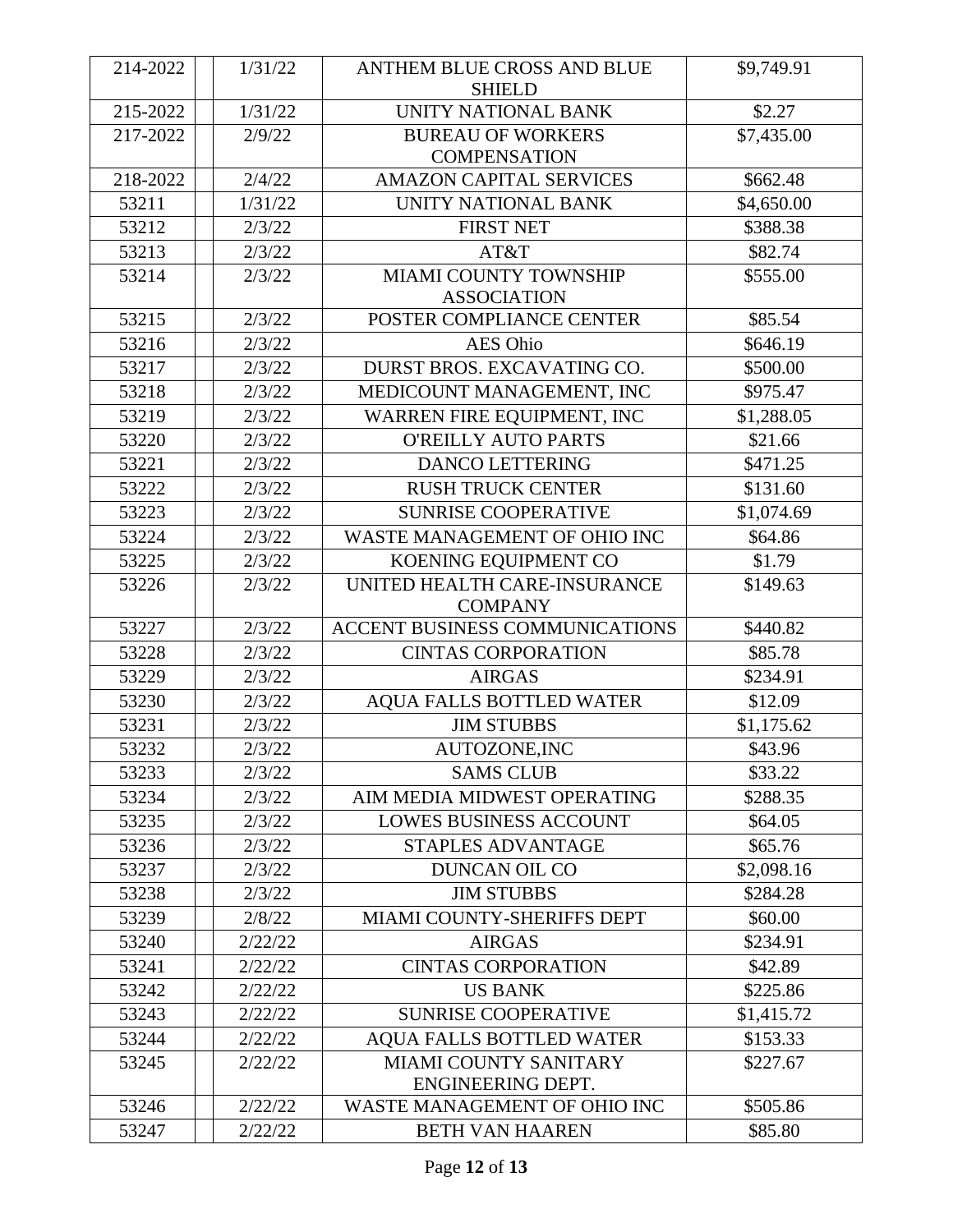| 214-2022 | 1/31/22 | ANTHEM BLUE CROSS AND BLUE<br><b>SHIELD</b>       | \$9,749.91 |
|----------|---------|---------------------------------------------------|------------|
| 215-2022 | 1/31/22 | UNITY NATIONAL BANK                               | \$2.27     |
| 217-2022 | 2/9/22  | <b>BUREAU OF WORKERS</b><br><b>COMPENSATION</b>   | \$7,435.00 |
| 218-2022 | 2/4/22  | <b>AMAZON CAPITAL SERVICES</b>                    | \$662.48   |
| 53211    | 1/31/22 | UNITY NATIONAL BANK                               | \$4,650.00 |
| 53212    | 2/3/22  | <b>FIRST NET</b>                                  | \$388.38   |
| 53213    | 2/3/22  | AT&T                                              | \$82.74    |
| 53214    | 2/3/22  | MIAMI COUNTY TOWNSHIP<br><b>ASSOCIATION</b>       | \$555.00   |
| 53215    | 2/3/22  | POSTER COMPLIANCE CENTER                          | \$85.54    |
| 53216    | 2/3/22  | <b>AES Ohio</b>                                   | \$646.19   |
| 53217    | 2/3/22  | DURST BROS. EXCAVATING CO.                        | \$500.00   |
| 53218    | 2/3/22  | MEDICOUNT MANAGEMENT, INC                         | \$975.47   |
| 53219    | 2/3/22  | WARREN FIRE EQUIPMENT, INC                        | \$1,288.05 |
| 53220    | 2/3/22  | <b>O'REILLY AUTO PARTS</b>                        | \$21.66    |
| 53221    | 2/3/22  | <b>DANCO LETTERING</b>                            | \$471.25   |
| 53222    | 2/3/22  | <b>RUSH TRUCK CENTER</b>                          | \$131.60   |
| 53223    | 2/3/22  | <b>SUNRISE COOPERATIVE</b>                        | \$1,074.69 |
| 53224    | 2/3/22  | WASTE MANAGEMENT OF OHIO INC                      | \$64.86    |
| 53225    | 2/3/22  | KOENING EQUIPMENT CO                              | \$1.79     |
| 53226    | 2/3/22  | UNITED HEALTH CARE-INSURANCE<br><b>COMPANY</b>    | \$149.63   |
| 53227    | 2/3/22  | ACCENT BUSINESS COMMUNICATIONS                    | \$440.82   |
| 53228    | 2/3/22  | <b>CINTAS CORPORATION</b>                         | \$85.78    |
| 53229    | 2/3/22  | <b>AIRGAS</b>                                     | \$234.91   |
| 53230    | 2/3/22  | <b>AQUA FALLS BOTTLED WATER</b>                   | \$12.09    |
| 53231    | 2/3/22  | <b>JIM STUBBS</b>                                 | \$1,175.62 |
| 53232    | 2/3/22  | AUTOZONE, INC                                     | \$43.96    |
| 53233    | 2/3/22  | <b>SAMS CLUB</b>                                  | \$33.22    |
| 53234    | 2/3/22  | AIM MEDIA MIDWEST OPERATING                       | \$288.35   |
| 53235    | 2/3/22  | <b>LOWES BUSINESS ACCOUNT</b>                     | \$64.05    |
| 53236    | 2/3/22  | <b>STAPLES ADVANTAGE</b>                          | \$65.76    |
| 53237    | 2/3/22  | <b>DUNCAN OIL CO</b>                              | \$2,098.16 |
| 53238    | 2/3/22  | <b>JIM STUBBS</b>                                 | \$284.28   |
| 53239    | 2/8/22  | MIAMI COUNTY-SHERIFFS DEPT                        | \$60.00    |
| 53240    | 2/22/22 | <b>AIRGAS</b>                                     | \$234.91   |
| 53241    | 2/22/22 | <b>CINTAS CORPORATION</b>                         | \$42.89    |
| 53242    | 2/22/22 | <b>US BANK</b>                                    | \$225.86   |
| 53243    | 2/22/22 | <b>SUNRISE COOPERATIVE</b>                        | \$1,415.72 |
| 53244    | 2/22/22 | <b>AQUA FALLS BOTTLED WATER</b>                   | \$153.33   |
| 53245    | 2/22/22 | <b>MIAMI COUNTY SANITARY</b><br>ENGINEERING DEPT. | \$227.67   |
| 53246    | 2/22/22 | WASTE MANAGEMENT OF OHIO INC                      | \$505.86   |
| 53247    | 2/22/22 | <b>BETH VAN HAAREN</b>                            | \$85.80    |